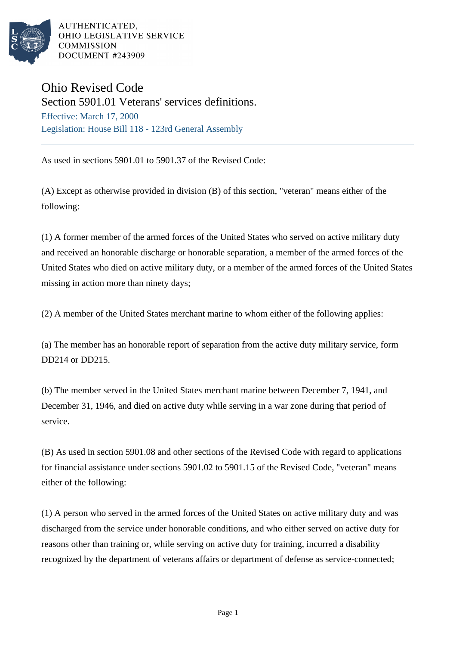

AUTHENTICATED. OHIO LEGISLATIVE SERVICE **COMMISSION DOCUMENT #243909** 

## Ohio Revised Code

Section 5901.01 Veterans' services definitions. Effective: March 17, 2000 Legislation: House Bill 118 - 123rd General Assembly

As used in sections 5901.01 to 5901.37 of the Revised Code:

(A) Except as otherwise provided in division (B) of this section, "veteran" means either of the following:

(1) A former member of the armed forces of the United States who served on active military duty and received an honorable discharge or honorable separation, a member of the armed forces of the United States who died on active military duty, or a member of the armed forces of the United States missing in action more than ninety days;

(2) A member of the United States merchant marine to whom either of the following applies:

(a) The member has an honorable report of separation from the active duty military service, form DD214 or DD215.

(b) The member served in the United States merchant marine between December 7, 1941, and December 31, 1946, and died on active duty while serving in a war zone during that period of service.

(B) As used in section 5901.08 and other sections of the Revised Code with regard to applications for financial assistance under sections 5901.02 to 5901.15 of the Revised Code, "veteran" means either of the following:

(1) A person who served in the armed forces of the United States on active military duty and was discharged from the service under honorable conditions, and who either served on active duty for reasons other than training or, while serving on active duty for training, incurred a disability recognized by the department of veterans affairs or department of defense as service-connected;